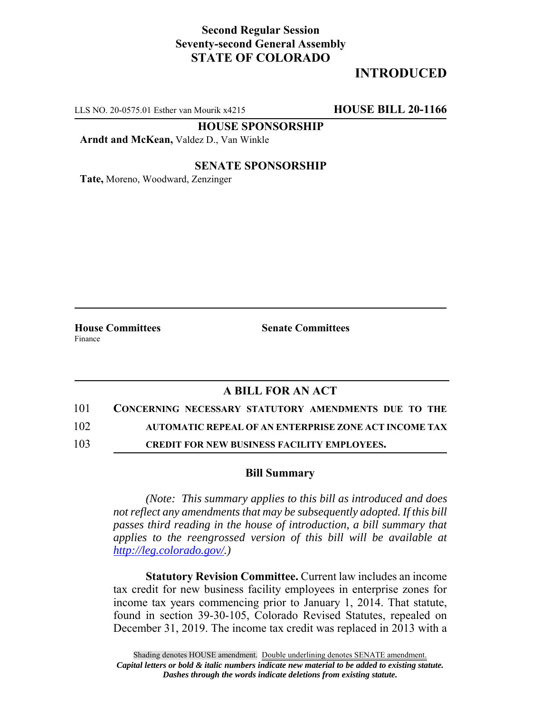## **Second Regular Session Seventy-second General Assembly STATE OF COLORADO**

# **INTRODUCED**

LLS NO. 20-0575.01 Esther van Mourik x4215 **HOUSE BILL 20-1166**

**HOUSE SPONSORSHIP**

**Arndt and McKean,** Valdez D., Van Winkle

## **SENATE SPONSORSHIP**

**Tate,** Moreno, Woodward, Zenzinger

Finance

**House Committees Senate Committees** 

## **A BILL FOR AN ACT**

101 **CONCERNING NECESSARY STATUTORY AMENDMENTS DUE TO THE**

102 **AUTOMATIC REPEAL OF AN ENTERPRISE ZONE ACT INCOME TAX**

103 **CREDIT FOR NEW BUSINESS FACILITY EMPLOYEES.**

## **Bill Summary**

*(Note: This summary applies to this bill as introduced and does not reflect any amendments that may be subsequently adopted. If this bill passes third reading in the house of introduction, a bill summary that applies to the reengrossed version of this bill will be available at http://leg.colorado.gov/.)*

**Statutory Revision Committee.** Current law includes an income tax credit for new business facility employees in enterprise zones for income tax years commencing prior to January 1, 2014. That statute, found in section 39-30-105, Colorado Revised Statutes, repealed on December 31, 2019. The income tax credit was replaced in 2013 with a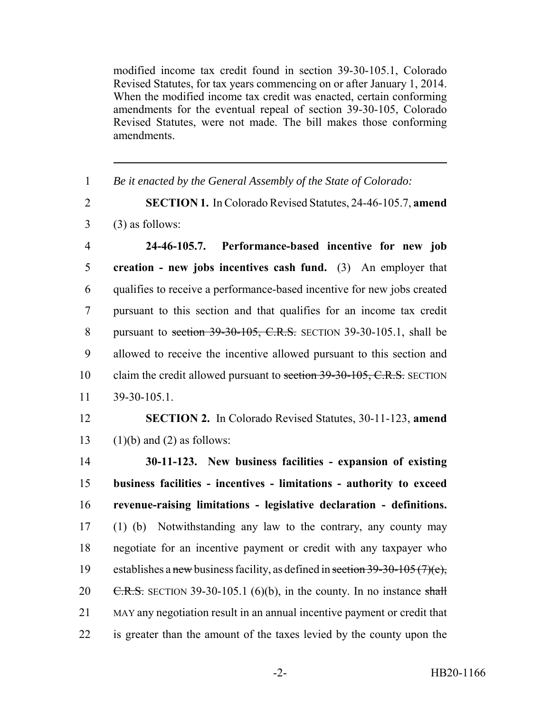modified income tax credit found in section 39-30-105.1, Colorado Revised Statutes, for tax years commencing on or after January 1, 2014. When the modified income tax credit was enacted, certain conforming amendments for the eventual repeal of section 39-30-105, Colorado Revised Statutes, were not made. The bill makes those conforming amendments.

 *Be it enacted by the General Assembly of the State of Colorado:* **SECTION 1.** In Colorado Revised Statutes, 24-46-105.7, **amend**  $3 \qquad (3)$  as follows: **24-46-105.7. Performance-based incentive for new job creation - new jobs incentives cash fund.** (3) An employer that qualifies to receive a performance-based incentive for new jobs created pursuant to this section and that qualifies for an income tax credit 8 pursuant to section 39-30-105, C.R.S. SECTION 39-30-105.1, shall be allowed to receive the incentive allowed pursuant to this section and 10 claim the credit allowed pursuant to section 39-30-105, C.R.S. SECTION 39-30-105.1. **SECTION 2.** In Colorado Revised Statutes, 30-11-123, **amend** 13 (1)(b) and (2) as follows: **30-11-123. New business facilities - expansion of existing business facilities - incentives - limitations - authority to exceed revenue-raising limitations - legislative declaration - definitions.** (1) (b) Notwithstanding any law to the contrary, any county may negotiate for an incentive payment or credit with any taxpayer who establishes a new business facility, as defined in section 39-30-105 (7)(e),  $\text{C.R.S.}$  SECTION 39-30-105.1 (6)(b), in the county. In no instance shall MAY any negotiation result in an annual incentive payment or credit that is greater than the amount of the taxes levied by the county upon the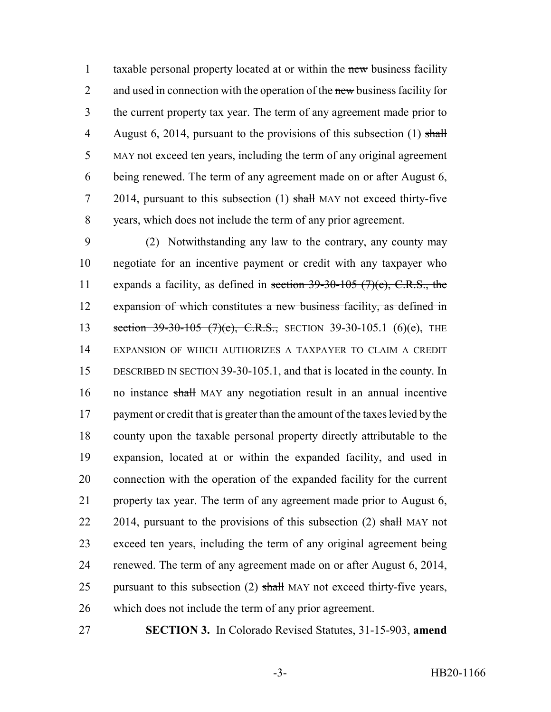1 taxable personal property located at or within the new business facility 2 and used in connection with the operation of the new business facility for the current property tax year. The term of any agreement made prior to 4 August 6, 2014, pursuant to the provisions of this subsection  $(1)$  shall MAY not exceed ten years, including the term of any original agreement being renewed. The term of any agreement made on or after August 6, 7 2014, pursuant to this subsection (1) shall MAY not exceed thirty-five years, which does not include the term of any prior agreement.

 (2) Notwithstanding any law to the contrary, any county may negotiate for an incentive payment or credit with any taxpayer who 11 expands a facility, as defined in section  $39-30-105$  (7)(c), C.R.S., the expansion of which constitutes a new business facility, as defined in 13 section 39-30-105 (7)(e), C.R.S., SECTION 39-30-105.1 (6)(e), THE EXPANSION OF WHICH AUTHORIZES A TAXPAYER TO CLAIM A CREDIT DESCRIBED IN SECTION 39-30-105.1, and that is located in the county. In no instance shall MAY any negotiation result in an annual incentive 17 payment or credit that is greater than the amount of the taxes levied by the county upon the taxable personal property directly attributable to the expansion, located at or within the expanded facility, and used in connection with the operation of the expanded facility for the current property tax year. The term of any agreement made prior to August 6, 22 2014, pursuant to the provisions of this subsection  $(2)$  shall MAY not exceed ten years, including the term of any original agreement being renewed. The term of any agreement made on or after August 6, 2014, 25 pursuant to this subsection  $(2)$  shall MAY not exceed thirty-five years, which does not include the term of any prior agreement.

**SECTION 3.** In Colorado Revised Statutes, 31-15-903, **amend**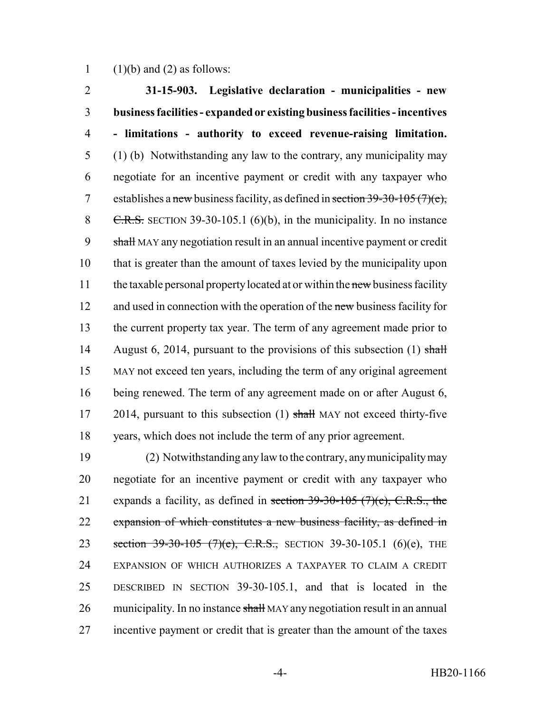1 (1)(b) and (2) as follows:

2 **31-15-903. Legislative declaration - municipalities - new** 3 **business facilities - expanded or existing business facilities - incentives** 4 **- limitations - authority to exceed revenue-raising limitation.** 5 (1) (b) Notwithstanding any law to the contrary, any municipality may 6 negotiate for an incentive payment or credit with any taxpayer who 7 establishes a new business facility, as defined in section  $39-30-105(7)(e)$ , 8 C.R.S. SECTION 39-30-105.1 (6)(b), in the municipality. In no instance 9 shall MAY any negotiation result in an annual incentive payment or credit 10 that is greater than the amount of taxes levied by the municipality upon 11 the taxable personal property located at or within the new business facility 12 and used in connection with the operation of the new business facility for 13 the current property tax year. The term of any agreement made prior to 14 August 6, 2014, pursuant to the provisions of this subsection (1) shall 15 MAY not exceed ten years, including the term of any original agreement 16 being renewed. The term of any agreement made on or after August 6, 17 2014, pursuant to this subsection (1) shall MAY not exceed thirty-five 18 years, which does not include the term of any prior agreement.

 (2) Notwithstanding any law to the contrary, any municipality may negotiate for an incentive payment or credit with any taxpayer who 21 expands a facility, as defined in section  $39-30-105$  (7)(c), C.R.S., the expansion of which constitutes a new business facility, as defined in 23 section 39-30-105 (7)(e), C.R.S., SECTION 39-30-105.1 (6)(e), THE EXPANSION OF WHICH AUTHORIZES A TAXPAYER TO CLAIM A CREDIT DESCRIBED IN SECTION 39-30-105.1, and that is located in the 26 municipality. In no instance shall MAY any negotiation result in an annual incentive payment or credit that is greater than the amount of the taxes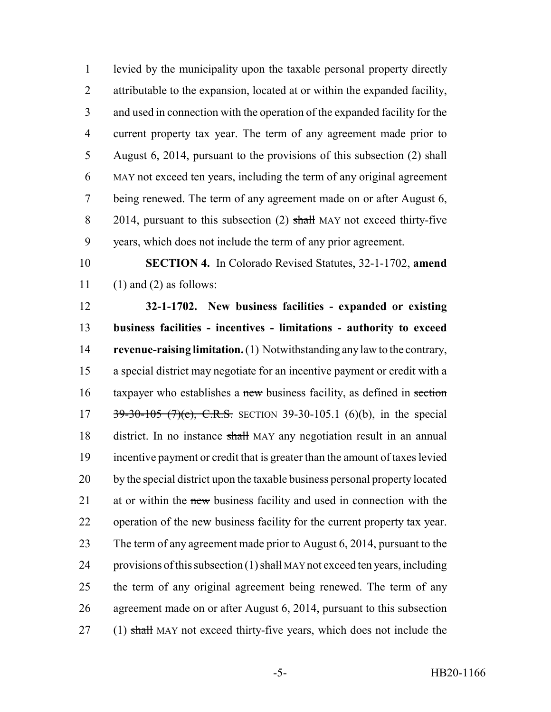levied by the municipality upon the taxable personal property directly attributable to the expansion, located at or within the expanded facility, and used in connection with the operation of the expanded facility for the current property tax year. The term of any agreement made prior to 5 August 6, 2014, pursuant to the provisions of this subsection  $(2)$  shall MAY not exceed ten years, including the term of any original agreement being renewed. The term of any agreement made on or after August 6, 8 2014, pursuant to this subsection (2) shall MAY not exceed thirty-five years, which does not include the term of any prior agreement.

 **SECTION 4.** In Colorado Revised Statutes, 32-1-1702, **amend** 11 (1) and (2) as follows:

 **32-1-1702. New business facilities - expanded or existing business facilities - incentives - limitations - authority to exceed revenue-raising limitation.** (1) Notwithstanding any law to the contrary, a special district may negotiate for an incentive payment or credit with a 16 taxpayer who establishes a new business facility, as defined in section 17 39-30-105 (7)(e), C.R.S. SECTION 39-30-105.1 (6)(b), in the special district. In no instance shall MAY any negotiation result in an annual incentive payment or credit that is greater than the amount of taxes levied by the special district upon the taxable business personal property located 21 at or within the new business facility and used in connection with the 22 operation of the new business facility for the current property tax year. 23 The term of any agreement made prior to August 6, 2014, pursuant to the 24 provisions of this subsection  $(1)$  shall MAY not exceed ten years, including the term of any original agreement being renewed. The term of any agreement made on or after August 6, 2014, pursuant to this subsection 27 (1) shall MAY not exceed thirty-five years, which does not include the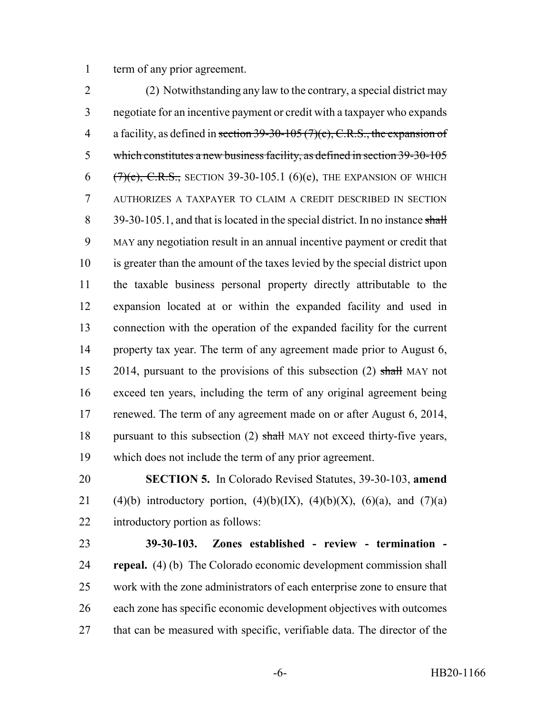term of any prior agreement.

 (2) Notwithstanding any law to the contrary, a special district may negotiate for an incentive payment or credit with a taxpayer who expands 4 a facility, as defined in section  $39-30-105(7)(c)$ , C.R.S., the expansion of which constitutes a new business facility, as defined in section 39-30-105  $(7)(e)$ , C.R.S., SECTION 39-30-105.1 (6)(e), THE EXPANSION OF WHICH AUTHORIZES A TAXPAYER TO CLAIM A CREDIT DESCRIBED IN SECTION 8 39-30-105.1, and that is located in the special district. In no instance shall MAY any negotiation result in an annual incentive payment or credit that is greater than the amount of the taxes levied by the special district upon the taxable business personal property directly attributable to the expansion located at or within the expanded facility and used in connection with the operation of the expanded facility for the current property tax year. The term of any agreement made prior to August 6, 15 2014, pursuant to the provisions of this subsection (2) shall MAY not exceed ten years, including the term of any original agreement being 17 renewed. The term of any agreement made on or after August 6, 2014, 18 pursuant to this subsection (2) shall MAY not exceed thirty-five years, which does not include the term of any prior agreement.

 **SECTION 5.** In Colorado Revised Statutes, 39-30-103, **amend** 21 (4)(b) introductory portion, (4)(b)(IX), (4)(b)(X), (6)(a), and (7)(a) introductory portion as follows:

 **39-30-103. Zones established - review - termination - repeal.** (4) (b) The Colorado economic development commission shall work with the zone administrators of each enterprise zone to ensure that each zone has specific economic development objectives with outcomes 27 that can be measured with specific, verifiable data. The director of the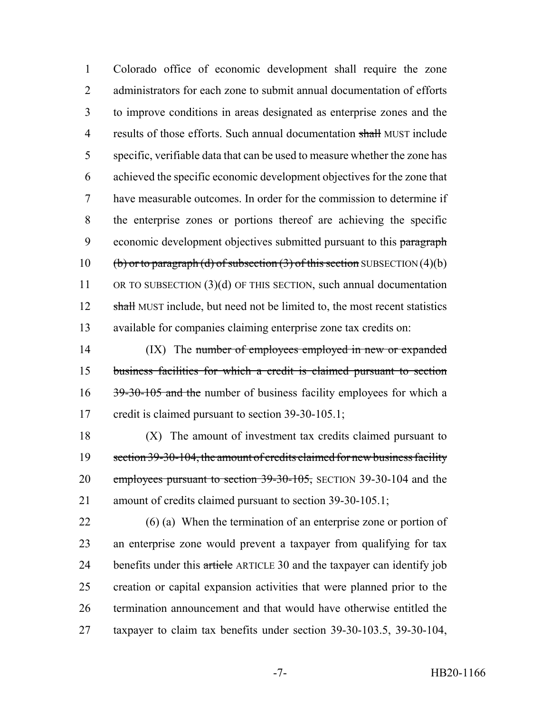Colorado office of economic development shall require the zone 2 administrators for each zone to submit annual documentation of efforts to improve conditions in areas designated as enterprise zones and the 4 results of those efforts. Such annual documentation shall MUST include specific, verifiable data that can be used to measure whether the zone has achieved the specific economic development objectives for the zone that have measurable outcomes. In order for the commission to determine if the enterprise zones or portions thereof are achieving the specific 9 economic development objectives submitted pursuant to this paragraph 10 (b) or to paragraph (d) of subsection (3) of this section SUBSECTION (4)(b) OR TO SUBSECTION (3)(d) OF THIS SECTION, such annual documentation 12 shall MUST include, but need not be limited to, the most recent statistics available for companies claiming enterprise zone tax credits on:

14 (IX) The number of employees employed in new or expanded 15 business facilities for which a credit is claimed pursuant to section 16 39-30-105 and the number of business facility employees for which a 17 credit is claimed pursuant to section 39-30-105.1;

18 (X) The amount of investment tax credits claimed pursuant to 19 section 39-30-104, the amount of credits claimed for new business facility 20 employees pursuant to section 39-30-105, SECTION 39-30-104 and the 21 amount of credits claimed pursuant to section 39-30-105.1;

 (6) (a) When the termination of an enterprise zone or portion of an enterprise zone would prevent a taxpayer from qualifying for tax 24 benefits under this article ARTICLE 30 and the taxpayer can identify job creation or capital expansion activities that were planned prior to the termination announcement and that would have otherwise entitled the taxpayer to claim tax benefits under section 39-30-103.5, 39-30-104,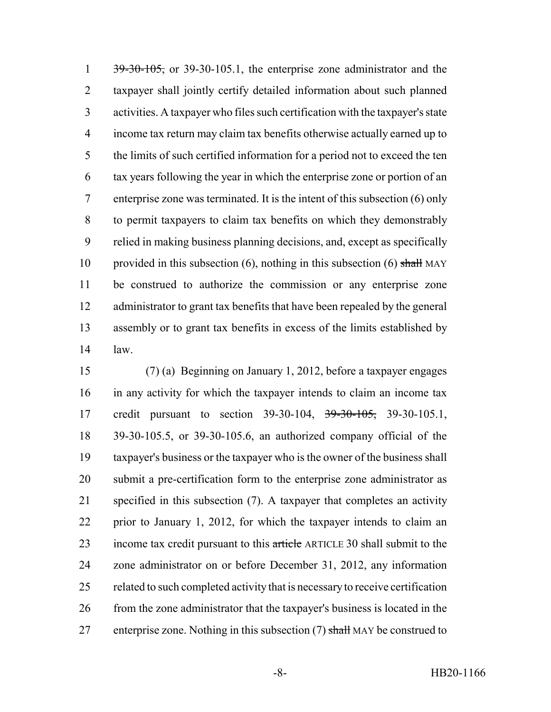$\frac{39-30-105}{2}$ , or 39-30-105.1, the enterprise zone administrator and the taxpayer shall jointly certify detailed information about such planned activities. A taxpayer who files such certification with the taxpayer's state income tax return may claim tax benefits otherwise actually earned up to the limits of such certified information for a period not to exceed the ten tax years following the year in which the enterprise zone or portion of an enterprise zone was terminated. It is the intent of this subsection (6) only to permit taxpayers to claim tax benefits on which they demonstrably relied in making business planning decisions, and, except as specifically 10 provided in this subsection  $(6)$ , nothing in this subsection  $(6)$  shall MAY be construed to authorize the commission or any enterprise zone administrator to grant tax benefits that have been repealed by the general assembly or to grant tax benefits in excess of the limits established by law.

 (7) (a) Beginning on January 1, 2012, before a taxpayer engages in any activity for which the taxpayer intends to claim an income tax 17 credit pursuant to section 39-30-104, <del>39-30-105,</del> 39-30-105.1, 39-30-105.5, or 39-30-105.6, an authorized company official of the taxpayer's business or the taxpayer who is the owner of the business shall submit a pre-certification form to the enterprise zone administrator as specified in this subsection (7). A taxpayer that completes an activity prior to January 1, 2012, for which the taxpayer intends to claim an 23 income tax credit pursuant to this article ARTICLE 30 shall submit to the zone administrator on or before December 31, 2012, any information related to such completed activity that is necessary to receive certification from the zone administrator that the taxpayer's business is located in the 27 enterprise zone. Nothing in this subsection  $(7)$  shall MAY be construed to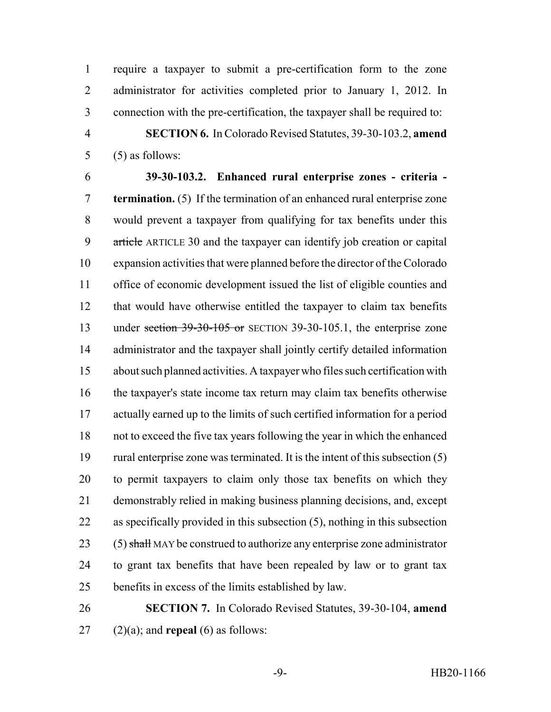require a taxpayer to submit a pre-certification form to the zone 2 administrator for activities completed prior to January 1, 2012. In connection with the pre-certification, the taxpayer shall be required to:

 **SECTION 6.** In Colorado Revised Statutes, 39-30-103.2, **amend** (5) as follows:

 **39-30-103.2. Enhanced rural enterprise zones - criteria - termination.** (5) If the termination of an enhanced rural enterprise zone would prevent a taxpayer from qualifying for tax benefits under this 9 article ARTICLE 30 and the taxpayer can identify job creation or capital expansion activities that were planned before the director of the Colorado office of economic development issued the list of eligible counties and that would have otherwise entitled the taxpayer to claim tax benefits 13 under section 39-30-105 or SECTION 39-30-105.1, the enterprise zone administrator and the taxpayer shall jointly certify detailed information about such planned activities. A taxpayer who files such certification with the taxpayer's state income tax return may claim tax benefits otherwise actually earned up to the limits of such certified information for a period not to exceed the five tax years following the year in which the enhanced rural enterprise zone was terminated. It is the intent of this subsection (5) to permit taxpayers to claim only those tax benefits on which they demonstrably relied in making business planning decisions, and, except as specifically provided in this subsection (5), nothing in this subsection  $(5)$  shall MAY be construed to authorize any enterprise zone administrator to grant tax benefits that have been repealed by law or to grant tax benefits in excess of the limits established by law.

 **SECTION 7.** In Colorado Revised Statutes, 39-30-104, **amend** (2)(a); and **repeal** (6) as follows: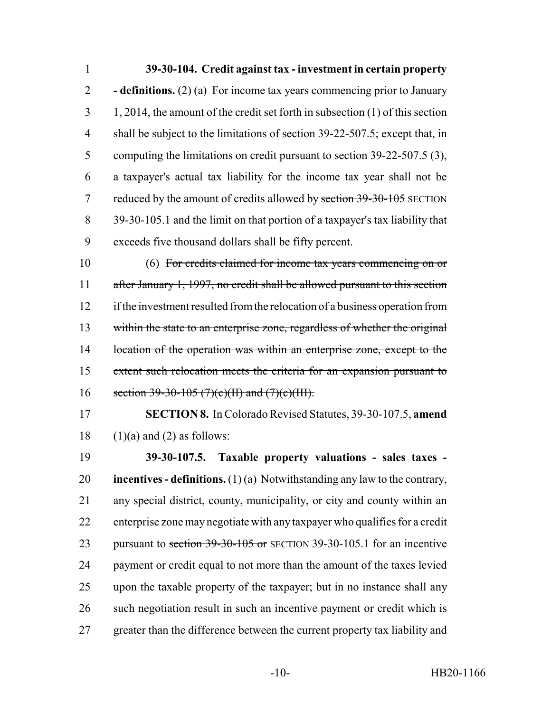## **39-30-104. Credit against tax - investment in certain property**

 **- definitions.** (2) (a) For income tax years commencing prior to January 1, 2014, the amount of the credit set forth in subsection (1) of this section shall be subject to the limitations of section 39-22-507.5; except that, in computing the limitations on credit pursuant to section 39-22-507.5 (3), a taxpayer's actual tax liability for the income tax year shall not be 7 reduced by the amount of credits allowed by section 39-30-105 SECTION 39-30-105.1 and the limit on that portion of a taxpayer's tax liability that exceeds five thousand dollars shall be fifty percent.

 (6) For credits claimed for income tax years commencing on or after January 1, 1997, no credit shall be allowed pursuant to this section 12 if the investment resulted from the relocation of a business operation from within the state to an enterprise zone, regardless of whether the original 14 location of the operation was within an enterprise zone, except to the extent such relocation meets the criteria for an expansion pursuant to 16 section 39-30-105 (7)(c)(II) and (7)(c)(III).

 **SECTION 8.** In Colorado Revised Statutes, 39-30-107.5, **amend** 18  $(1)(a)$  and  $(2)$  as follows:

 **39-30-107.5. Taxable property valuations - sales taxes - incentives - definitions.** (1) (a) Notwithstanding any law to the contrary, any special district, county, municipality, or city and county within an enterprise zone may negotiate with any taxpayer who qualifies for a credit 23 pursuant to section 39-30-105 or SECTION 39-30-105.1 for an incentive payment or credit equal to not more than the amount of the taxes levied upon the taxable property of the taxpayer; but in no instance shall any such negotiation result in such an incentive payment or credit which is greater than the difference between the current property tax liability and